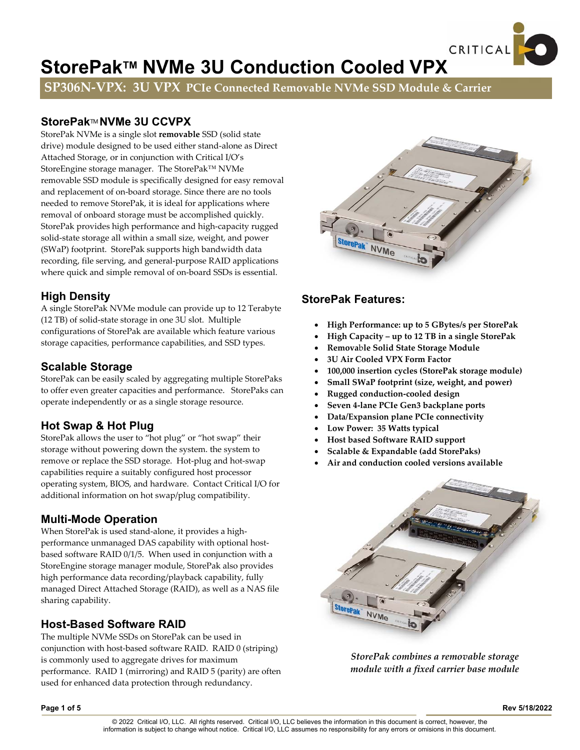# StorePak™ NVMe 3U Conduction Cooled VPX

**SP306N‐VPX: 3U VPX PCIe Connected Removable NVMe SSD Module & Carrier**

# **StorePak**TM **NVMe 3U CCVPX**

StorePak NVMe is a single slot **removable** SSD (solid state drive) module designed to be used either stand‐alone as Direct Attached Storage, or in conjunction with Critical I/O's StoreEngine storage manager. The StorePak™ NVMe removable SSD module is specifically designed for easy removal and replacement of on‐board storage. Since there are no tools needed to remove StorePak, it is ideal for applications where removal of onboard storage must be accomplished quickly. StorePak provides high performance and high‐capacity rugged solid‐state storage all within a small size, weight, and power (SWaP) footprint. StorePak supports high bandwidth data recording, file serving, and general‐purpose RAID applications where quick and simple removal of on-board SSDs is essential.

# **High Density**

A single StorePak NVMe module can provide up to 12 Terabyte (12 TB) of solid‐state storage in one 3U slot. Multiple configurations of StorePak are available which feature various storage capacities, performance capabilities, and SSD types.

# **Scalable Storage**

StorePak can be easily scaled by aggregating multiple StorePaks to offer even greater capacities and performance. StorePaks can operate independently or as a single storage resource.

# **Hot Swap & Hot Plug**

StorePak allows the user to "hot plug" or "hot swap" their storage without powering down the system. the system to remove or replace the SSD storage. Hot-plug and hot-swap capabilities require a suitably configured host processor operating system, BIOS, and hardware. Contact Critical I/O for additional information on hot swap/plug compatibility.

## **Multi-Mode Operation**

When StorePak is used stand-alone, it provides a highperformance unmanaged DAS capability with optional hostbased software RAID 0/1/5. When used in conjunction with a StoreEngine storage manager module, StorePak also provides high performance data recording/playback capability, fully managed Direct Attached Storage (RAID), as well as a NAS file sharing capability.

# **Host-Based Software RAID**

The multiple NVMe SSDs on StorePak can be used in conjunction with host‐based software RAID. RAID 0 (striping) is commonly used to aggregate drives for maximum performance. RAID 1 (mirroring) and RAID 5 (parity) are often used for enhanced data protection through redundancy.



CRITICAL

## **StorePak Features:**

- **High Performance: up to 5 GBytes/s per StorePak**
- **High Capacity – up to 12 TB in a single StorePak**
- **Remova**b**le Solid State Storage Module**
- **3U Air Cooled VPX Form Factor**
- **100,000 insertion cycles (StorePak storage module)**
- **Small SWaP footprint (size, weight, and power)**
- **Rugged conduction‐cooled design**
- **Seven 4‐lane PCIe Gen3 backplane ports**
- **Data/Expansion plane PCIe connectivity**
- **Low Power: 35 Watts typical**
- **Host based Software RAID support**
- **Scalable & Expandable (add StorePaks)**
- **Air and conduction cooled versions available**



*StorePak combines a removable storage module with a fixed carrier base module*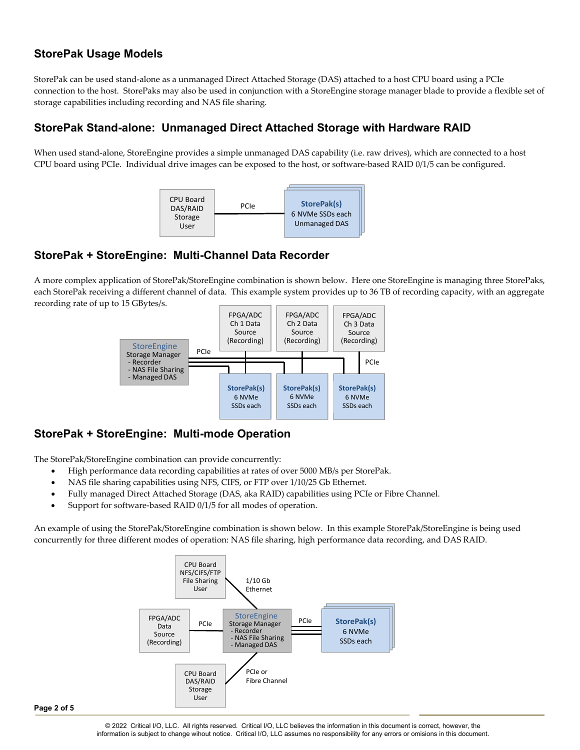# **StorePak Usage Models**

StorePak can be used stand‐alone as a unmanaged Direct Attached Storage (DAS) attached to a host CPU board using a PCIe connection to the host. StorePaks may also be used in conjunction with a StoreEngine storage manager blade to provide a flexible set of storage capabilities including recording and NAS file sharing.

# **StorePak Stand-alone: Unmanaged Direct Attached Storage with Hardware RAID**

When used stand‐alone, StoreEngine provides a simple unmanaged DAS capability (i.e. raw drives), which are connected to a host CPU board using PCIe. Individual drive images can be exposed to the host, or software‐based RAID 0/1/5 can be configured.



## **StorePak + StoreEngine: Multi-Channel Data Recorder**

A more complex application of StorePak/StoreEngine combination is shown below. Here one StoreEngine is managing three StorePaks, each StorePak receiving a different channel of data. This example system provides up to 36 TB of recording capacity, with an aggregate recording rate of up to 15 GBytes/s.



# **StorePak + StoreEngine: Multi-mode Operation**

The StorePak/StoreEngine combination can provide concurrently:

- High performance data recording capabilities at rates of over 5000 MB/s per StorePak.
- NAS file sharing capabilities using NFS, CIFS, or FTP over 1/10/25 Gb Ethernet.
- Fully managed Direct Attached Storage (DAS, aka RAID) capabilities using PCIe or Fibre Channel.
- Support for software‐based RAID 0/1/5 for all modes of operation.

An example of using the StorePak/StoreEngine combination is shown below. In this example StorePak/StoreEngine is being used concurrently for three different modes of operation: NAS file sharing, high performance data recording, and DAS RAID.

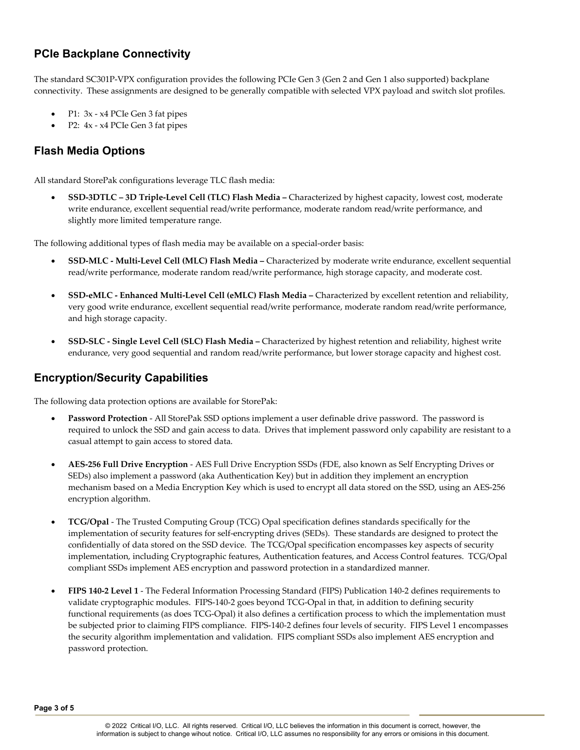# **PCIe Backplane Connectivity**

The standard SC301P-VPX configuration provides the following PCIe Gen 3 (Gen 2 and Gen 1 also supported) backplane connectivity. These assignments are designed to be generally compatible with selected VPX payload and switch slot profiles.

- P1: 3x ‐ x4 PCIe Gen 3 fat pipes
- P2: 4x ‐ x4 PCIe Gen 3 fat pipes

## **Flash Media Options**

All standard StorePak configurations leverage TLC flash media:

 **SSD‐3DTLC – 3D Triple‐Level Cell (TLC) Flash Media –** Characterized by highest capacity, lowest cost, moderate write endurance, excellent sequential read/write performance, moderate random read/write performance, and slightly more limited temperature range.

The following additional types of flash media may be available on a special-order basis:

- **SSD‐MLC ‐ Multi‐Level Cell (MLC) Flash Media –** Characterized by moderate write endurance, excellent sequential read/write performance, moderate random read/write performance, high storage capacity, and moderate cost.
- **SSD‐eMLC ‐ Enhanced Multi‐Level Cell (eMLC) Flash Media –** Characterized by excellent retention and reliability, very good write endurance, excellent sequential read/write performance, moderate random read/write performance, and high storage capacity.
- **SSD‐SLC ‐ Single Level Cell (SLC) Flash Media –** Characterized by highest retention and reliability, highest write endurance, very good sequential and random read/write performance, but lower storage capacity and highest cost.

## **Encryption/Security Capabilities**

The following data protection options are available for StorePak:

- **Password Protection** ‐ All StorePak SSD options implement a user definable drive password. The password is required to unlock the SSD and gain access to data. Drives that implement password only capability are resistant to a casual attempt to gain access to stored data.
- **AES‐256 Full Drive Encryption** ‐ AES Full Drive Encryption SSDs (FDE, also known as Self Encrypting Drives or SEDs) also implement a password (aka Authentication Key) but in addition they implement an encryption mechanism based on a Media Encryption Key which is used to encrypt all data stored on the SSD, using an AES‐256 encryption algorithm.
- **TCG/Opal** ‐ The Trusted Computing Group (TCG) Opal specification defines standards specifically for the implementation of security features for self‐encrypting drives (SEDs). These standards are designed to protect the confidentially of data stored on the SSD device. The TCG/Opal specification encompasses key aspects of security implementation, including Cryptographic features, Authentication features, and Access Control features. TCG/Opal compliant SSDs implement AES encryption and password protection in a standardized manner.
- **FIPS 140‐2 Level 1** ‐ The Federal Information Processing Standard (FIPS) Publication 140‐2 defines requirements to validate cryptographic modules. FIPS‐140‐2 goes beyond TCG‐Opal in that, in addition to defining security functional requirements (as does TCG‐Opal) it also defines a certification process to which the implementation must be subjected prior to claiming FIPS compliance. FIPS-140-2 defines four levels of security. FIPS Level 1 encompasses the security algorithm implementation and validation. FIPS compliant SSDs also implement AES encryption and password protection.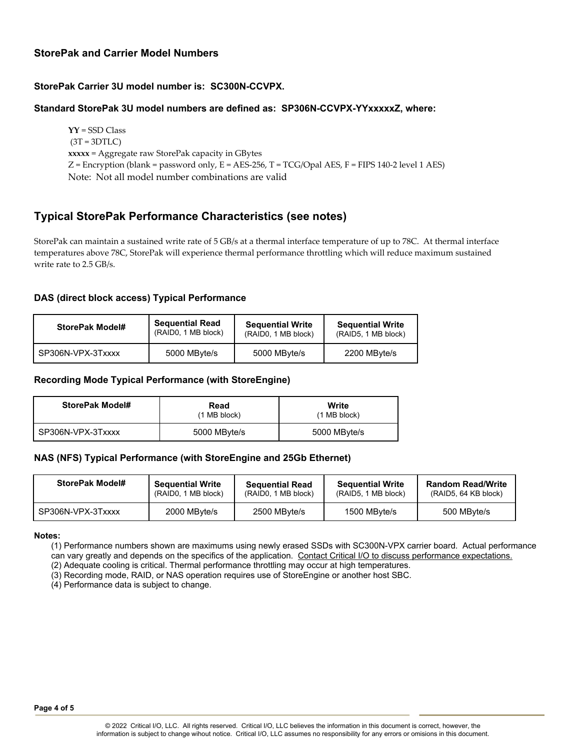#### **StorePak and Carrier Model Numbers**

#### **StorePak Carrier 3U model number is: SC300N-CCVPX.**

#### **Standard StorePak 3U model numbers are defined as: SP306N-CCVPX-YYxxxxxZ, where:**

**YY** = SSD Class  $(3T = 3DTLC)$ **xxxxx** = Aggregate raw StorePak capacity in GBytes  $Z =$  Encryption (blank = password only,  $E =$  AES-256, T = TCG/Opal AES, F = FIPS 140-2 level 1 AES) Note: Not all model number combinations are valid

## **Typical StorePak Performance Characteristics (see notes)**

StorePak can maintain a sustained write rate of 5 GB/s at a thermal interface temperature of up to 78C. At thermal interface temperatures above 78C, StorePak will experience thermal performance throttling which will reduce maximum sustained write rate to 2.5 GB/s.

#### **DAS (direct block access) Typical Performance**

| StorePak Model#   | <b>Sequential Read</b> | <b>Sequential Write</b> | <b>Sequential Write</b> |
|-------------------|------------------------|-------------------------|-------------------------|
|                   | (RAID0, 1 MB block)    | (RAID0, 1 MB block)     | (RAID5, 1 MB block)     |
| SP306N-VPX-3Txxxx | 5000 MByte/s           | 5000 MByte/s            | 2200 MByte/s            |

#### **Recording Mode Typical Performance (with StoreEngine)**

| StorePak Model#   | Read<br>$(1 \text{ MB block})$ | Write<br>$(1 \text{ MB block})$ |
|-------------------|--------------------------------|---------------------------------|
| SP306N-VPX-3Txxxx | 5000 MByte/s                   | 5000 MByte/s                    |

#### **NAS (NFS) Typical Performance (with StoreEngine and 25Gb Ethernet)**

| StorePak Model#   | <b>Sequential Write</b> | <b>Sequential Read</b> | <b>Sequential Write</b> | <b>Random Read/Write</b> |
|-------------------|-------------------------|------------------------|-------------------------|--------------------------|
|                   | (RAID0, 1 MB block)     | (RAID0, 1 MB block)    | (RAID5, 1 MB block)     | (RAID5, 64 KB block)     |
| SP306N-VPX-3Txxxx | 2000 MByte/s            | 2500 MByte/s           | 1500 MByte/s            | 500 MByte/s              |

#### **Notes:**

(1) Performance numbers shown are maximums using newly erased SSDs with SC300N-VPX carrier board. Actual performance can vary greatly and depends on the specifics of the application. Contact Critical I/O to discuss performance expectations.

(2) Adequate cooling is critical. Thermal performance throttling may occur at high temperatures.

(3) Recording mode, RAID, or NAS operation requires use of StoreEngine or another host SBC.

(4) Performance data is subject to change.